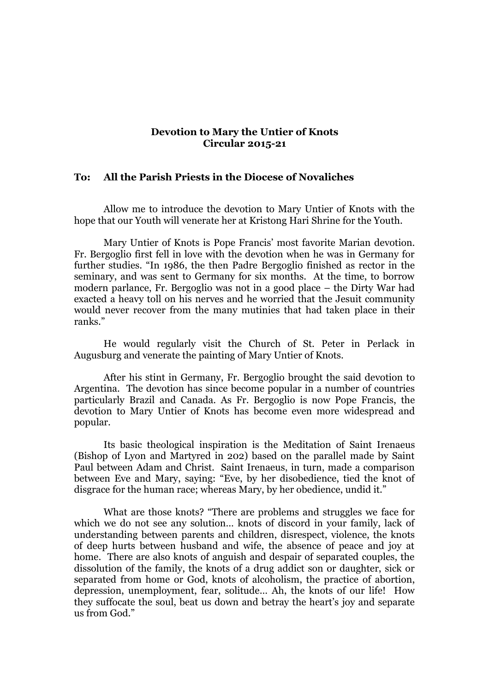## **Devotion to Mary the Untier of Knots Circular 2015-21**

## **To: All the Parish Priests in the Diocese of Novaliches**

Allow me to introduce the devotion to Mary Untier of Knots with the hope that our Youth will venerate her at Kristong Hari Shrine for the Youth.

Mary Untier of Knots is Pope Francis' most favorite Marian devotion. Fr. Bergoglio first fell in love with the devotion when he was in Germany for further studies. "In 1986, the then Padre Bergoglio finished as rector in the seminary, and was sent to Germany for six months. At the time, to borrow modern parlance, Fr. Bergoglio was not in a good place – the Dirty War had exacted a heavy toll on his nerves and he worried that the Jesuit community would never recover from the many mutinies that had taken place in their ranks."

He would regularly visit the Church of St. Peter in Perlack in Augusburg and venerate the painting of Mary Untier of Knots.

After his stint in Germany, Fr. Bergoglio brought the said devotion to Argentina. The devotion has since become popular in a number of countries particularly Brazil and Canada. As Fr. Bergoglio is now Pope Francis, the devotion to Mary Untier of Knots has become even more widespread and popular.

Its basic theological inspiration is the Meditation of Saint Irenaeus (Bishop of Lyon and Martyred in 202) based on the parallel made by Saint Paul between Adam and Christ. Saint Irenaeus, in turn, made a comparison between Eve and Mary, saying: "Eve, by her disobedience, tied the knot of disgrace for the human race; whereas Mary, by her obedience, undid it."

What are those knots? "There are problems and struggles we face for which we do not see any solution… knots of discord in your family, lack of understanding between parents and children, disrespect, violence, the knots of deep hurts between husband and wife, the absence of peace and joy at home. There are also knots of anguish and despair of separated couples, the dissolution of the family, the knots of a drug addict son or daughter, sick or separated from home or God, knots of alcoholism, the practice of abortion, depression, unemployment, fear, solitude… Ah, the knots of our life! How they suffocate the soul, beat us down and betray the heart's joy and separate us from God."